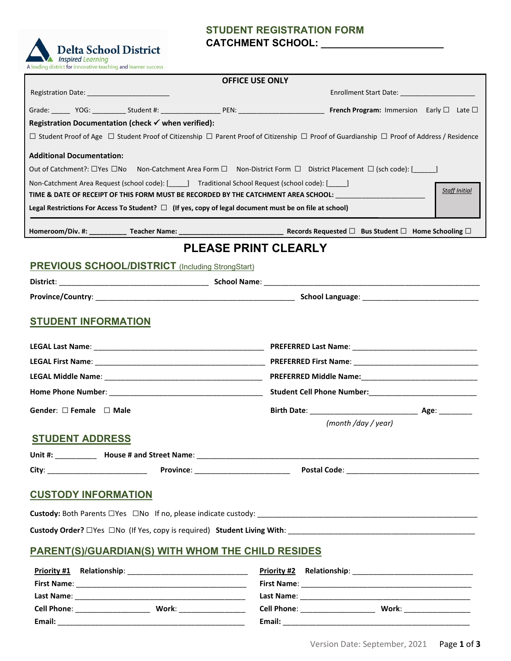# **STUDENT REGISTRATION FORM CATCHMENT SCHOOL: \_\_\_\_\_\_\_\_\_\_\_\_\_\_\_\_\_\_\_\_\_\_**



**Email:** \_\_\_\_\_\_\_\_\_\_\_\_\_\_\_\_\_\_\_\_\_\_\_\_\_\_\_\_\_\_\_\_\_\_\_\_\_\_\_\_\_\_\_\_\_

| <b>OFFICE USE ONLY</b>                                                                                                                                                                                                                                                                |                                         |                                                         |                                                                                                             |                                                                                                                                            |                      |  |  |
|---------------------------------------------------------------------------------------------------------------------------------------------------------------------------------------------------------------------------------------------------------------------------------------|-----------------------------------------|---------------------------------------------------------|-------------------------------------------------------------------------------------------------------------|--------------------------------------------------------------------------------------------------------------------------------------------|----------------------|--|--|
|                                                                                                                                                                                                                                                                                       |                                         |                                                         |                                                                                                             | Enrollment Start Date: _______________________                                                                                             |                      |  |  |
|                                                                                                                                                                                                                                                                                       |                                         |                                                         |                                                                                                             |                                                                                                                                            |                      |  |  |
|                                                                                                                                                                                                                                                                                       |                                         | Registration Documentation (check √ when verified):     |                                                                                                             |                                                                                                                                            |                      |  |  |
|                                                                                                                                                                                                                                                                                       |                                         |                                                         |                                                                                                             | □ Student Proof of Age □ Student Proof of Citizenship □ Parent Proof of Citizenship □ Proof of Guardianship □ Proof of Address / Residence |                      |  |  |
|                                                                                                                                                                                                                                                                                       | <b>Additional Documentation:</b>        |                                                         |                                                                                                             |                                                                                                                                            |                      |  |  |
| Out of Catchment?: $\Box$ Yes $\Box$ No Non-Catchment Area Form $\Box$ Non-District Form $\Box$ District Placement $\Box$ (sch code): [ ]                                                                                                                                             |                                         |                                                         |                                                                                                             |                                                                                                                                            |                      |  |  |
|                                                                                                                                                                                                                                                                                       |                                         |                                                         | Non-Catchment Area Request (school code): [ ] Traditional School Request (school code): [ ]                 |                                                                                                                                            |                      |  |  |
|                                                                                                                                                                                                                                                                                       |                                         |                                                         |                                                                                                             | TIME & DATE OF RECEIPT OF THIS FORM MUST BE RECORDED BY THE CATCHMENT AREA SCHOOL: __________________________                              | <b>Staff Initial</b> |  |  |
|                                                                                                                                                                                                                                                                                       |                                         |                                                         | Legal Restrictions For Access To Student? $\Box$ (If yes, copy of legal document must be on file at school) |                                                                                                                                            |                      |  |  |
|                                                                                                                                                                                                                                                                                       |                                         |                                                         |                                                                                                             |                                                                                                                                            |                      |  |  |
|                                                                                                                                                                                                                                                                                       |                                         |                                                         | <b>PLEASE PRINT CLEARLY</b>                                                                                 |                                                                                                                                            |                      |  |  |
|                                                                                                                                                                                                                                                                                       |                                         | <b>PREVIOUS SCHOOL/DISTRICT</b> (Including StrongStart) |                                                                                                             |                                                                                                                                            |                      |  |  |
|                                                                                                                                                                                                                                                                                       |                                         |                                                         |                                                                                                             |                                                                                                                                            |                      |  |  |
|                                                                                                                                                                                                                                                                                       |                                         |                                                         |                                                                                                             |                                                                                                                                            |                      |  |  |
| <b>STUDENT INFORMATION</b>                                                                                                                                                                                                                                                            |                                         |                                                         |                                                                                                             |                                                                                                                                            |                      |  |  |
|                                                                                                                                                                                                                                                                                       |                                         |                                                         |                                                                                                             |                                                                                                                                            |                      |  |  |
|                                                                                                                                                                                                                                                                                       |                                         |                                                         |                                                                                                             |                                                                                                                                            |                      |  |  |
|                                                                                                                                                                                                                                                                                       |                                         |                                                         |                                                                                                             |                                                                                                                                            |                      |  |  |
|                                                                                                                                                                                                                                                                                       |                                         |                                                         |                                                                                                             |                                                                                                                                            |                      |  |  |
|                                                                                                                                                                                                                                                                                       |                                         |                                                         |                                                                                                             |                                                                                                                                            |                      |  |  |
|                                                                                                                                                                                                                                                                                       | Gender: $\square$ Female $\square$ Male |                                                         |                                                                                                             |                                                                                                                                            |                      |  |  |
|                                                                                                                                                                                                                                                                                       |                                         |                                                         |                                                                                                             | (month /day / year)                                                                                                                        |                      |  |  |
|                                                                                                                                                                                                                                                                                       | <b>STUDENT ADDRESS</b>                  |                                                         |                                                                                                             |                                                                                                                                            |                      |  |  |
|                                                                                                                                                                                                                                                                                       |                                         |                                                         |                                                                                                             |                                                                                                                                            |                      |  |  |
|                                                                                                                                                                                                                                                                                       |                                         |                                                         | Province: _________________________                                                                         |                                                                                                                                            |                      |  |  |
|                                                                                                                                                                                                                                                                                       |                                         | <b>CUSTODY INFORMATION</b>                              |                                                                                                             |                                                                                                                                            |                      |  |  |
|                                                                                                                                                                                                                                                                                       |                                         |                                                         |                                                                                                             |                                                                                                                                            |                      |  |  |
|                                                                                                                                                                                                                                                                                       |                                         |                                                         |                                                                                                             |                                                                                                                                            |                      |  |  |
| Custody Order? <a>&gt;<a> <a> Custody Order? <a> Custody Order? <a> Custody Order? <a> Custody Order? <a> Custody Order? <a> Custody Order? <a> Custody Order? <a> Custody Order? <a> Custody Order? <a> Custody Order? <a> Custo</a></a></a></a></a></a></a></a></a></a></a></a></a> |                                         |                                                         |                                                                                                             |                                                                                                                                            |                      |  |  |
| <b>PARENT(S)/GUARDIAN(S) WITH WHOM THE CHILD RESIDES</b>                                                                                                                                                                                                                              |                                         |                                                         |                                                                                                             |                                                                                                                                            |                      |  |  |
|                                                                                                                                                                                                                                                                                       |                                         |                                                         |                                                                                                             |                                                                                                                                            |                      |  |  |
|                                                                                                                                                                                                                                                                                       |                                         |                                                         |                                                                                                             |                                                                                                                                            |                      |  |  |
|                                                                                                                                                                                                                                                                                       |                                         |                                                         |                                                                                                             |                                                                                                                                            |                      |  |  |
|                                                                                                                                                                                                                                                                                       | Cell Phone: ____________________        |                                                         | Work: _______________                                                                                       | Work: ______________<br>Cell Phone: ____________________                                                                                   |                      |  |  |

**Email:** \_\_\_\_\_\_\_\_\_\_\_\_\_\_\_\_\_\_\_\_\_\_\_\_\_\_\_\_\_\_\_\_\_\_\_\_\_\_\_\_\_\_\_\_\_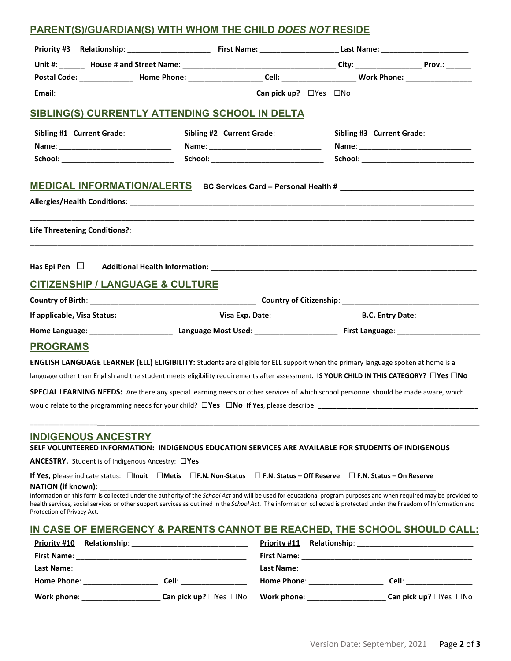## **PARENT(S)/GUARDIAN(S) WITH WHOM THE CHILD** *DOES NOT* **RESIDE**

| Postal Code: ________________ Home Phone: ______________________Cell: ______________________________ Work Phone: ______________________                                                                                                                                                                                                                                   |                                           |                                       |  |
|---------------------------------------------------------------------------------------------------------------------------------------------------------------------------------------------------------------------------------------------------------------------------------------------------------------------------------------------------------------------------|-------------------------------------------|---------------------------------------|--|
|                                                                                                                                                                                                                                                                                                                                                                           |                                           |                                       |  |
| SIBLING(S) CURRENTLY ATTENDING SCHOOL IN DELTA                                                                                                                                                                                                                                                                                                                            |                                           |                                       |  |
| Sibling #1 Current Grade: _________                                                                                                                                                                                                                                                                                                                                       | Sibling #2 Current Grade: _________       | Sibling #3 Current Grade: __________  |  |
|                                                                                                                                                                                                                                                                                                                                                                           |                                           |                                       |  |
| School: _________________________________                                                                                                                                                                                                                                                                                                                                 | School: _________________________________ | School: _____________________________ |  |
| MEDICAL INFORMATION/ALERTS BC Services Card - Personal Health # _______________________                                                                                                                                                                                                                                                                                   |                                           |                                       |  |
|                                                                                                                                                                                                                                                                                                                                                                           |                                           |                                       |  |
|                                                                                                                                                                                                                                                                                                                                                                           |                                           |                                       |  |
| <b>CITIZENSHIP / LANGUAGE &amp; CULTURE</b>                                                                                                                                                                                                                                                                                                                               |                                           |                                       |  |
|                                                                                                                                                                                                                                                                                                                                                                           |                                           |                                       |  |
|                                                                                                                                                                                                                                                                                                                                                                           |                                           |                                       |  |
|                                                                                                                                                                                                                                                                                                                                                                           |                                           |                                       |  |
| <b>PROGRAMS</b>                                                                                                                                                                                                                                                                                                                                                           |                                           |                                       |  |
| <b>ENGLISH LANGUAGE LEARNER (ELL) ELIGIBILITY:</b> Students are eligible for ELL support when the primary language spoken at home is a                                                                                                                                                                                                                                    |                                           |                                       |  |
| language other than English and the student meets eligibility requirements after assessment. IS YOUR CHILD IN THIS CATEGORY? $\Box$ Yes $\Box$ No                                                                                                                                                                                                                         |                                           |                                       |  |
| SPECIAL LEARNING NEEDS: Are there any special learning needs or other services of which school personnel should be made aware, which                                                                                                                                                                                                                                      |                                           |                                       |  |
|                                                                                                                                                                                                                                                                                                                                                                           |                                           |                                       |  |
| <b>INDIGENOUS ANCESTRY</b><br>SELF VOLUNTEERED INFORMATION: INDIGENOUS EDUCATION SERVICES ARE AVAILABLE FOR STUDENTS OF INDIGENOUS                                                                                                                                                                                                                                        |                                           |                                       |  |
| ANCESTRY. Student is of Indigenous Ancestry: □Yes                                                                                                                                                                                                                                                                                                                         |                                           |                                       |  |
| If Yes, please indicate status: □Inuit □Metis □F.N. Non-Status □F.N. Status - Off Reserve □F.N. Status - On Reserve                                                                                                                                                                                                                                                       |                                           |                                       |  |
| <b>NATION (if known):</b>                                                                                                                                                                                                                                                                                                                                                 |                                           |                                       |  |
| Information on this form is collected under the authority of the School Act and will be used for educational program purposes and when required may be provided to<br>health services, social services or other support services as outlined in the School Act. The information collected is protected under the Freedom of Information and<br>Protection of Privacy Act. |                                           |                                       |  |
| IN CASE OF EMERGENCY & PARENTS CANNOT BE REACHED, THE SCHOOL SHOULD CALL:                                                                                                                                                                                                                                                                                                 |                                           |                                       |  |
| <b>Priority #10</b>                                                                                                                                                                                                                                                                                                                                                       |                                           |                                       |  |
|                                                                                                                                                                                                                                                                                                                                                                           |                                           |                                       |  |
|                                                                                                                                                                                                                                                                                                                                                                           |                                           |                                       |  |

**Home Phone**: \_\_\_\_\_\_\_\_\_\_\_\_\_\_\_\_\_\_ **Cell**: \_\_\_\_\_\_\_\_\_\_\_\_\_\_\_\_ **Home Phone**: \_\_\_\_\_\_\_\_\_\_\_\_\_\_\_\_\_\_ **Cell**: \_\_\_\_\_\_\_\_\_\_\_\_\_\_\_\_

| Work phone: | Can pick up? $\Box$ Yes $\Box$ No Work phone: | Can pick up? □Yes □No |
|-------------|-----------------------------------------------|-----------------------|
|             |                                               |                       |